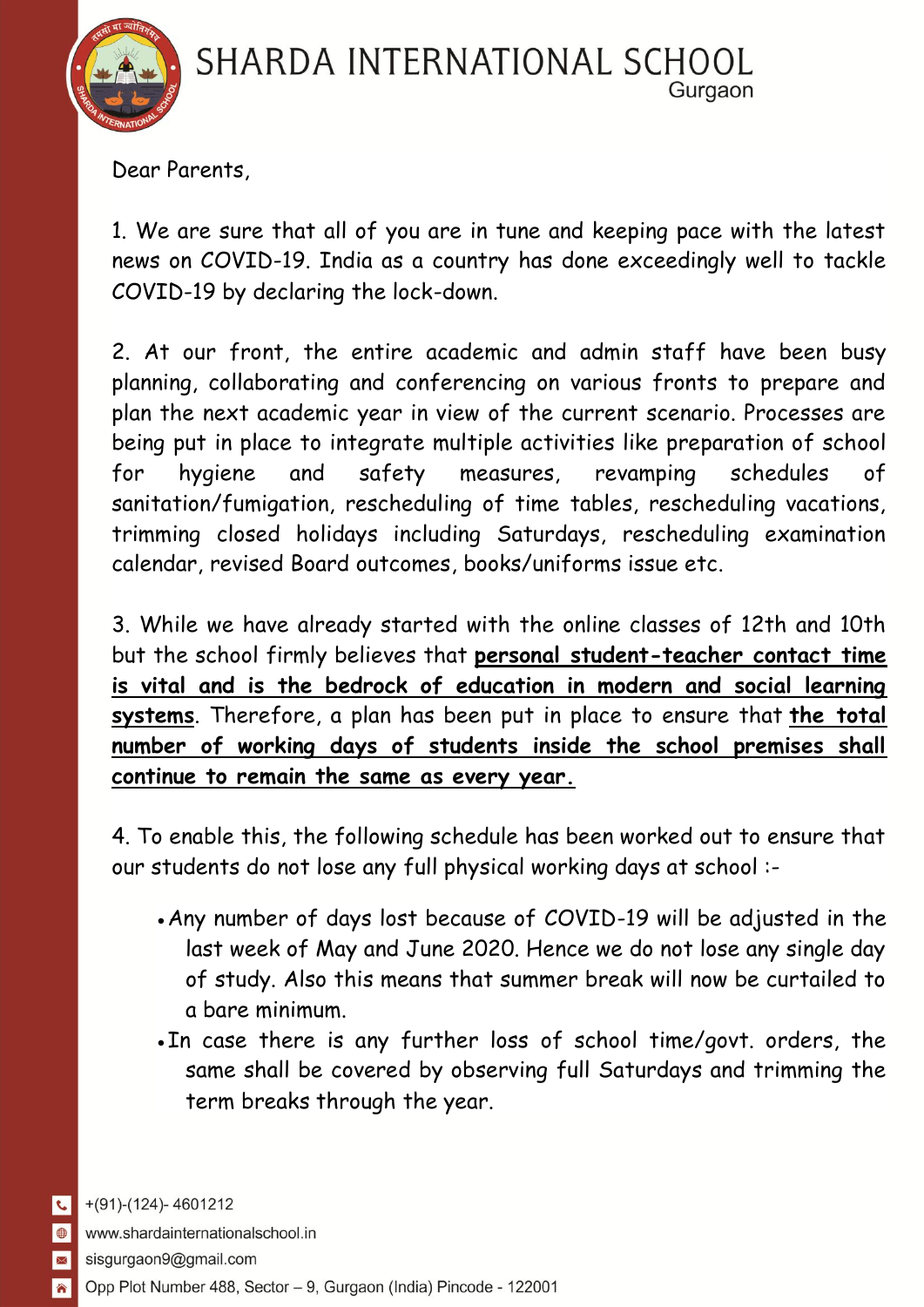

Dear Parents,

1. We are sure that all of you are in tune and keeping pace with the latest news on COVID-19. India as a country has done exceedingly well to tackle COVID-19 by declaring the lock-down.

2. At our front, the entire academic and admin staff have been busy planning, collaborating and conferencing on various fronts to prepare and plan the next academic year in view of the current scenario. Processes are being put in place to integrate multiple activities like preparation of school for hygiene and safety measures, revamping schedules of sanitation/fumigation, rescheduling of time tables, rescheduling vacations, trimming closed holidays including Saturdays, rescheduling examination calendar, revised Board outcomes, books/uniforms issue etc.

3. While we have already started with the online classes of 12th and 10th but the school firmly believes that **personal student-teacher contact time is vital and is the bedrock of education in modern and social learning systems**. Therefore, a plan has been put in place to ensure that **the total number of working days of students inside the school premises shall continue to remain the same as every year.**

4. To enable this, the following schedule has been worked out to ensure that our students do not lose any full physical working days at school :-

- Any number of days lost because of COVID-19 will be adjusted in the last week of May and June 2020. Hence we do not lose any single day of study. Also this means that summer break will now be curtailed to a bare minimum.
- . In case there is any further loss of school time/govt. orders, the same shall be covered by observing full Saturdays and trimming the term breaks through the year.

 $\overline{\mathcal{L}}$ 

**In**